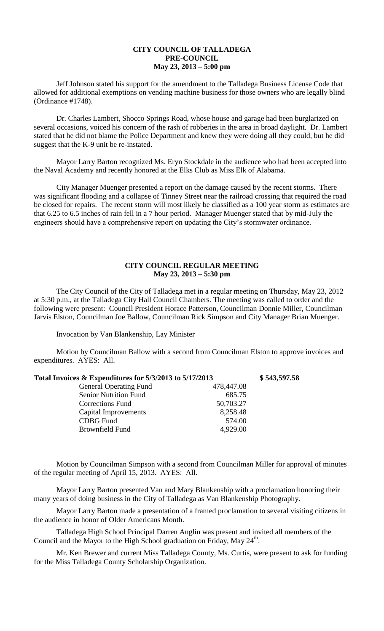## **CITY COUNCIL OF TALLADEGA PRE-COUNCIL May 23, 2013 – 5:00 pm**

Jeff Johnson stated his support for the amendment to the Talladega Business License Code that allowed for additional exemptions on vending machine business for those owners who are legally blind (Ordinance #1748).

Dr. Charles Lambert, Shocco Springs Road, whose house and garage had been burglarized on several occasions, voiced his concern of the rash of robberies in the area in broad daylight. Dr. Lambert stated that he did not blame the Police Department and knew they were doing all they could, but he did suggest that the K-9 unit be re-instated.

Mayor Larry Barton recognized Ms. Eryn Stockdale in the audience who had been accepted into the Naval Academy and recently honored at the Elks Club as Miss Elk of Alabama.

City Manager Muenger presented a report on the damage caused by the recent storms. There was significant flooding and a collapse of Tinney Street near the railroad crossing that required the road be closed for repairs. The recent storm will most likely be classified as a 100 year storm as estimates are that 6.25 to 6.5 inches of rain fell in a 7 hour period. Manager Muenger stated that by mid-July the engineers should have a comprehensive report on updating the City's stormwater ordinance.

## **CITY COUNCIL REGULAR MEETING May 23, 2013 – 5:30 pm**

The City Council of the City of Talladega met in a regular meeting on Thursday, May 23, 2012 at 5:30 p.m., at the Talladega City Hall Council Chambers. The meeting was called to order and the following were present: Council President Horace Patterson, Councilman Donnie Miller, Councilman Jarvis Elston, Councilman Joe Ballow, Councilman Rick Simpson and City Manager Brian Muenger.

Invocation by Van Blankenship, Lay Minister

Motion by Councilman Ballow with a second from Councilman Elston to approve invoices and expenditures. AYES: All.

| Total Invoices & Expenditures for 5/3/2013 to 5/17/2013 |            | \$543,597.58 |
|---------------------------------------------------------|------------|--------------|
| <b>General Operating Fund</b>                           | 478,447.08 |              |
| <b>Senior Nutrition Fund</b>                            | 685.75     |              |
| Corrections Fund                                        | 50,703.27  |              |
| Capital Improvements                                    | 8,258.48   |              |
| <b>CDBG</b> Fund                                        | 574.00     |              |
| <b>Brownfield Fund</b>                                  | 4,929.00   |              |
|                                                         |            |              |

Motion by Councilman Simpson with a second from Councilman Miller for approval of minutes of the regular meeting of April 15, 2013. AYES: All.

Mayor Larry Barton presented Van and Mary Blankenship with a proclamation honoring their many years of doing business in the City of Talladega as Van Blankenship Photography.

Mayor Larry Barton made a presentation of a framed proclamation to several visiting citizens in the audience in honor of Older Americans Month.

Talladega High School Principal Darren Anglin was present and invited all members of the Council and the Mayor to the High School graduation on Friday, May  $24<sup>th</sup>$ .

Mr. Ken Brewer and current Miss Talladega County, Ms. Curtis, were present to ask for funding for the Miss Talladega County Scholarship Organization.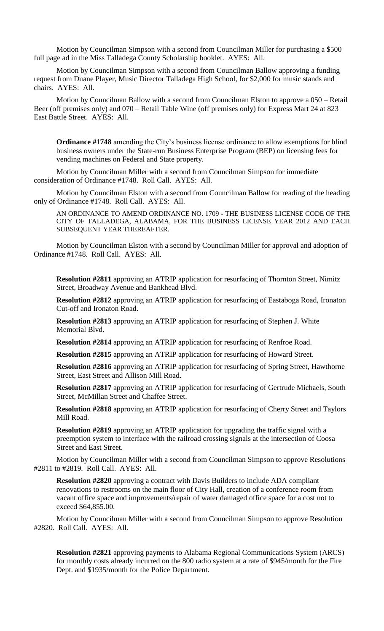Motion by Councilman Simpson with a second from Councilman Miller for purchasing a \$500 full page ad in the Miss Talladega County Scholarship booklet. AYES: All.

Motion by Councilman Simpson with a second from Councilman Ballow approving a funding request from Duane Player, Music Director Talladega High School, for \$2,000 for music stands and chairs. AYES: All.

Motion by Councilman Ballow with a second from Councilman Elston to approve a 050 – Retail Beer (off premises only) and 070 – Retail Table Wine (off premises only) for Express Mart 24 at 823 East Battle Street. AYES: All.

**Ordinance #1748** amending the City's business license ordinance to allow exemptions for blind business owners under the State-run Business Enterprise Program (BEP) on licensing fees for vending machines on Federal and State property.

Motion by Councilman Miller with a second from Councilman Simpson for immediate consideration of Ordinance #1748. Roll Call. AYES: All.

Motion by Councilman Elston with a second from Councilman Ballow for reading of the heading only of Ordinance #1748. Roll Call. AYES: All.

AN ORDINANCE TO AMEND ORDINANCE NO. 1709 - THE BUSINESS LICENSE CODE OF THE CITY OF TALLADEGA, ALABAMA, FOR THE BUSINESS LICENSE YEAR 2012 AND EACH SUBSEQUENT YEAR THEREAFTER.

Motion by Councilman Elston with a second by Councilman Miller for approval and adoption of Ordinance #1748. Roll Call. AYES: All.

**Resolution #2811** approving an ATRIP application for resurfacing of Thornton Street, Nimitz Street, Broadway Avenue and Bankhead Blvd.

**Resolution #2812** approving an ATRIP application for resurfacing of Eastaboga Road, Ironaton Cut-off and Ironaton Road.

**Resolution #2813** approving an ATRIP application for resurfacing of Stephen J. White Memorial Blvd.

**Resolution #2814** approving an ATRIP application for resurfacing of Renfroe Road.

**Resolution #2815** approving an ATRIP application for resurfacing of Howard Street.

**Resolution #2816** approving an ATRIP application for resurfacing of Spring Street, Hawthorne Street, East Street and Allison Mill Road.

**Resolution #2817** approving an ATRIP application for resurfacing of Gertrude Michaels, South Street, McMillan Street and Chaffee Street.

**Resolution #2818** approving an ATRIP application for resurfacing of Cherry Street and Taylors Mill Road.

**Resolution #2819** approving an ATRIP application for upgrading the traffic signal with a preemption system to interface with the railroad crossing signals at the intersection of Coosa Street and East Street.

Motion by Councilman Miller with a second from Councilman Simpson to approve Resolutions #2811 to #2819. Roll Call. AYES: All.

**Resolution #2820** approving a contract with Davis Builders to include ADA compliant renovations to restrooms on the main floor of City Hall, creation of a conference room from vacant office space and improvements/repair of water damaged office space for a cost not to exceed \$64,855.00.

Motion by Councilman Miller with a second from Councilman Simpson to approve Resolution #2820. Roll Call. AYES: All.

**Resolution #2821** approving payments to Alabama Regional Communications System (ARCS) for monthly costs already incurred on the 800 radio system at a rate of \$945/month for the Fire Dept. and \$1935/month for the Police Department.